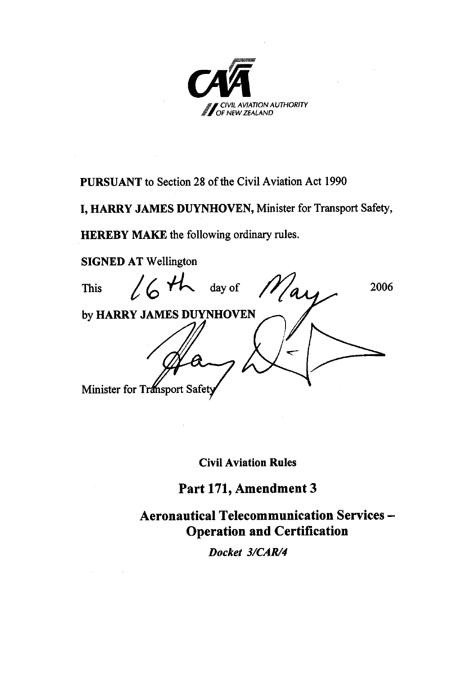

**PURSUANT** to Section 28 of the Civil Aviation Act 1990

I, HARRY JAMES DUYNHOVEN, Minister for Transport Safety,

**HEREBY MAKE** the following ordinary rules.

**SIGNED AT Wellington**  $164h$ day of **This** 2006 'as by HARRY JAMES DUYNHOVEN Minister for Transport Safety

**Civil Aviation Rules** 

# Part 171, Amendment 3

**Aeronautical Telecommunication Services -Operation and Certification** 

Docket 3/CAR/4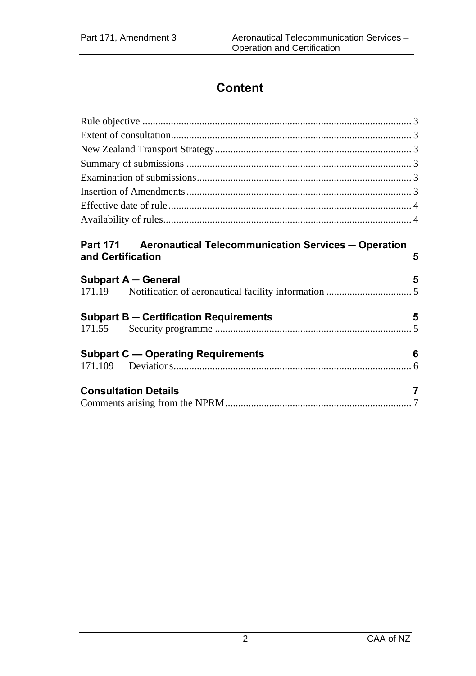# **Content**

| Part 171 Aeronautical Telecommunication Services - Operation |    |
|--------------------------------------------------------------|----|
| and Certification                                            | 5  |
| Subpart A - General                                          | -5 |
|                                                              |    |
| <b>Subpart B - Certification Requirements</b>                | 5  |
|                                                              |    |
| <b>Subpart C - Operating Requirements</b>                    | 6  |
|                                                              |    |
| <b>Consultation Details</b>                                  | 7  |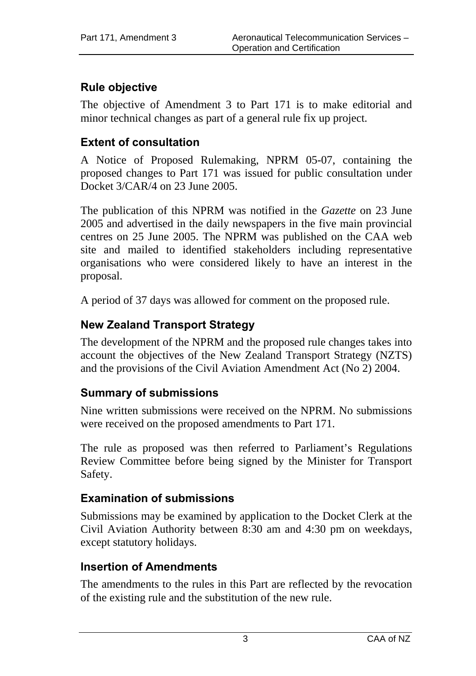# **Rule objective**

The objective of Amendment 3 to Part 171 is to make editorial and minor technical changes as part of a general rule fix up project.

### **Extent of consultation**

A Notice of Proposed Rulemaking, NPRM 05-07, containing the proposed changes to Part 171 was issued for public consultation under Docket  $3/CAR/4$  on 23 June 2005.

The publication of this NPRM was notified in the *Gazette* on 23 June 2005 and advertised in the daily newspapers in the five main provincial centres on 25 June 2005. The NPRM was published on the CAA web site and mailed to identified stakeholders including representative organisations who were considered likely to have an interest in the proposal.

A period of 37 days was allowed for comment on the proposed rule.

## **New Zealand Transport Strategy**

The development of the NPRM and the proposed rule changes takes into account the objectives of the New Zealand Transport Strategy (NZTS) and the provisions of the Civil Aviation Amendment Act (No 2) 2004.

### **Summary of submissions**

Nine written submissions were received on the NPRM. No submissions were received on the proposed amendments to Part 171.

The rule as proposed was then referred to Parliament's Regulations Review Committee before being signed by the Minister for Transport Safety.

## **Examination of submissions**

Submissions may be examined by application to the Docket Clerk at the Civil Aviation Authority between 8:30 am and 4:30 pm on weekdays, except statutory holidays.

### **Insertion of Amendments**

The amendments to the rules in this Part are reflected by the revocation of the existing rule and the substitution of the new rule.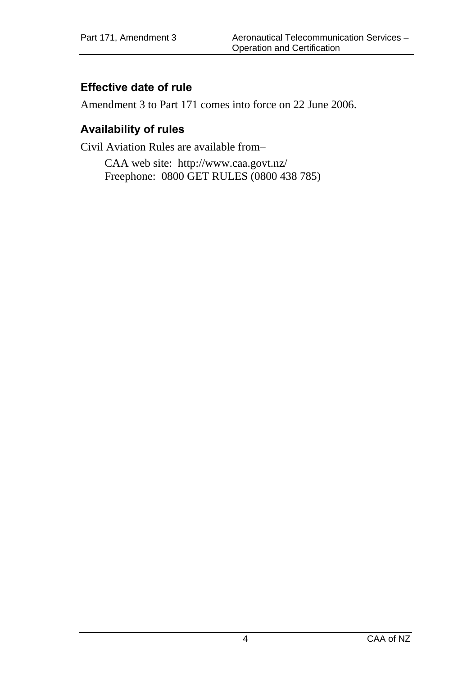## **Effective date of rule**

Amendment 3 to Part 171 comes into force on 22 June 2006.

### **Availability of rules**

Civil Aviation Rules are available from–

CAA web site: <http://www.caa.govt.nz/> Freephone: 0800 GET RULES (0800 438 785)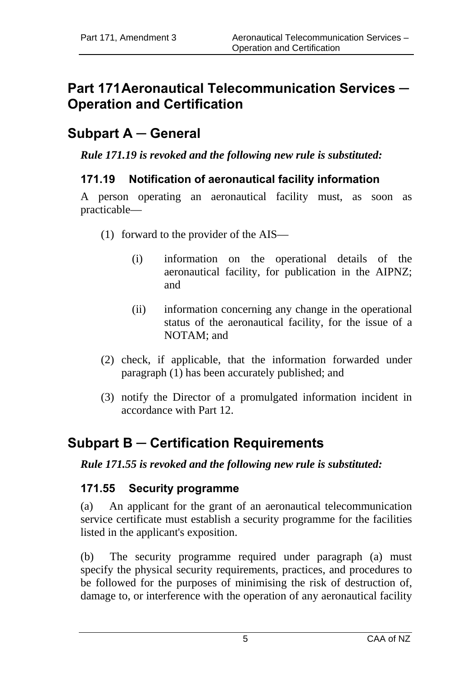# **Part 171 Aeronautical Telecommunication Services ─ Operation and Certification**

# **Subpart A ─ General**

*Rule 171.19 is revoked and the following new rule is substituted:* 

### **171.19 Notification of aeronautical facility information**

A person operating an aeronautical facility must, as soon as practicable—

- (1) forward to the provider of the AIS—
	- (i) information on the operational details of the aeronautical facility, for publication in the AIPNZ; and
	- (ii) information concerning any change in the operational status of the aeronautical facility, for the issue of a NOTAM; and
- (2) check, if applicable, that the information forwarded under paragraph (1) has been accurately published; and
- (3) notify the Director of a promulgated information incident in accordance with Part 12.

# **Subpart B ─ Certification Requirements**

#### *Rule 171.55 is revoked and the following new rule is substituted:*

### **171.55 Security programme**

(a) An applicant for the grant of an aeronautical telecommunication service certificate must establish a security programme for the facilities listed in the applicant's exposition.

(b) The security programme required under paragraph (a) must specify the physical security requirements, practices, and procedures to be followed for the purposes of minimising the risk of destruction of, damage to, or interference with the operation of any aeronautical facility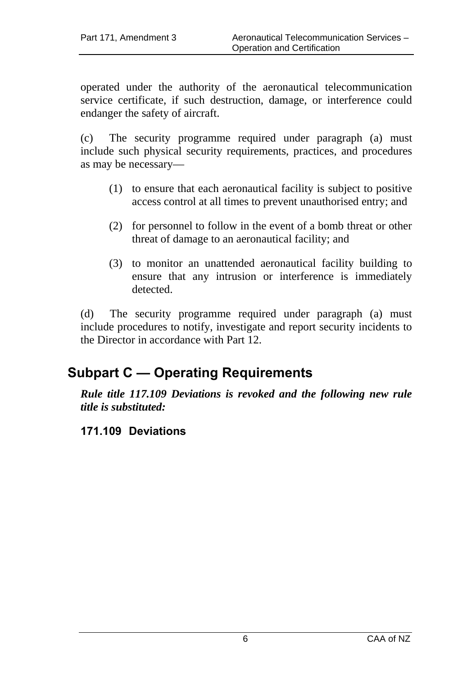operated under the authority of the aeronautical telecommunication service certificate, if such destruction, damage, or interference could endanger the safety of aircraft.

(c) The security programme required under paragraph (a) must include such physical security requirements, practices, and procedures as may be necessary—

- (1) to ensure that each aeronautical facility is subject to positive access control at all times to prevent unauthorised entry; and
- (2) for personnel to follow in the event of a bomb threat or other threat of damage to an aeronautical facility; and
- (3) to monitor an unattended aeronautical facility building to ensure that any intrusion or interference is immediately detected.

(d) The security programme required under paragraph (a) must include procedures to notify, investigate and report security incidents to the Director in accordance with Part 12.

# **Subpart C — Operating Requirements**

*Rule title 117.109 Deviations is revoked and the following new rule title is substituted:* 

## **171.109 Deviations**